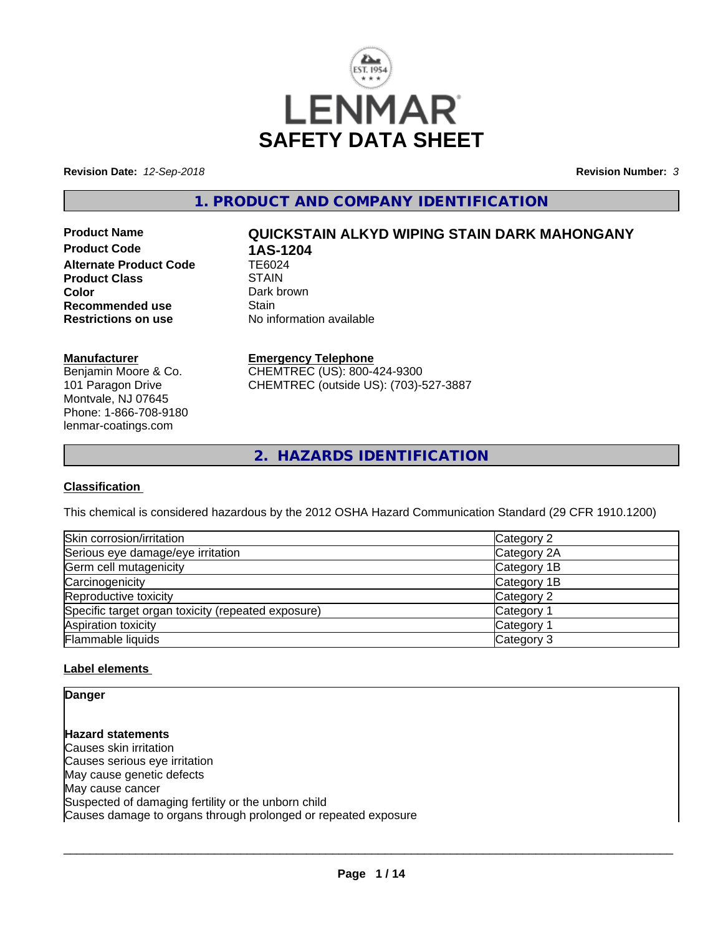

**Revision Date:** *12-Sep-2018* **Revision Number:** *3*

**1. PRODUCT AND COMPANY IDENTIFICATION**

**Product Code 1AS-1204**<br>Alternate Product Code 1E6024 **Alternate Product Code Product Class STAIN Color** Dark brown<br> **Recommended use** Stain **Recommended use**<br>Restrictions on use

# **Product Name QUICKSTAIN ALKYD WIPING STAIN DARK MAHONGANY**

**No information available** 

#### **Manufacturer**

Benjamin Moore & Co. 101 Paragon Drive Montvale, NJ 07645 Phone: 1-866-708-9180 lenmar-coatings.com

### **Emergency Telephone**

CHEMTREC (US): 800-424-9300 CHEMTREC (outside US): (703)-527-3887

**2. HAZARDS IDENTIFICATION**

#### **Classification**

This chemical is considered hazardous by the 2012 OSHA Hazard Communication Standard (29 CFR 1910.1200)

| Skin corrosion/irritation                          | Category 2            |
|----------------------------------------------------|-----------------------|
| Serious eye damage/eye irritation                  | Category 2A           |
| Germ cell mutagenicity                             | Category 1B           |
| Carcinogenicity                                    | Category 1B           |
| Reproductive toxicity                              | Category 2            |
| Specific target organ toxicity (repeated exposure) | Category 1            |
| Aspiration toxicity                                | Category <sup>2</sup> |
| Flammable liquids                                  | Category 3            |

#### **Label elements**

**Danger**

**Hazard statements** Causes skin irritation Causes serious eye irritation May cause genetic defects May cause cancer Suspected of damaging fertility or the unborn child Causes damage to organs through prolonged or repeated exposure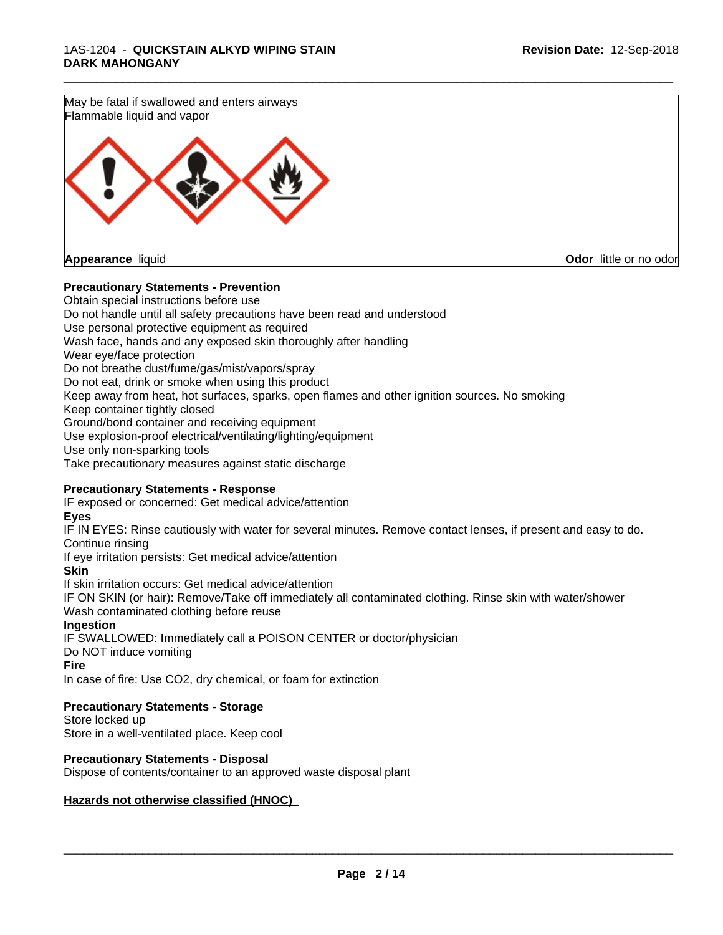May be fatal if swallowed and enters airways Flammable liquid and vapor



**Appearance** liquid **Odor in the original of the original of the original of the original of the original of the original of the original of the original of the original of the original of the original of the original of t** 

#### **Precautionary Statements - Prevention**

Obtain special instructions before use Do not handle until all safety precautions have been read and understood Use personal protective equipment as required Wash face, hands and any exposed skin thoroughly after handling Wear eye/face protection Do not breathe dust/fume/gas/mist/vapors/spray Do not eat, drink or smoke when using this product Keep away from heat, hot surfaces, sparks, open flames and other ignition sources. No smoking Keep container tightly closed Ground/bond container and receiving equipment Use explosion-proof electrical/ventilating/lighting/equipment Use only non-sparking tools Take precautionary measures against static discharge

\_\_\_\_\_\_\_\_\_\_\_\_\_\_\_\_\_\_\_\_\_\_\_\_\_\_\_\_\_\_\_\_\_\_\_\_\_\_\_\_\_\_\_\_\_\_\_\_\_\_\_\_\_\_\_\_\_\_\_\_\_\_\_\_\_\_\_\_\_\_\_\_\_\_\_\_\_\_\_\_\_\_\_\_\_\_\_\_\_\_\_\_\_

#### **Precautionary Statements - Response**

IF exposed or concerned: Get medical advice/attention

#### **Eyes**

IF IN EYES: Rinse cautiously with water for several minutes. Remove contact lenses, if present and easy to do. Continue rinsing

If eye irritation persists: Get medical advice/attention

#### **Skin**

If skin irritation occurs: Get medical advice/attention

IF ON SKIN (or hair): Remove/Take off immediately all contaminated clothing. Rinse skin with water/shower Wash contaminated clothing before reuse

#### **Ingestion**

IF SWALLOWED: Immediately call a POISON CENTER or doctor/physician Do NOT induce vomiting

#### **Fire**

In case of fire: Use CO2, dry chemical, or foam for extinction

#### **Precautionary Statements - Storage**

Store locked up Store in a well-ventilated place. Keep cool

#### **Precautionary Statements - Disposal**

Dispose of contents/container to an approved waste disposal plant

#### **Hazards not otherwise classified (HNOC)**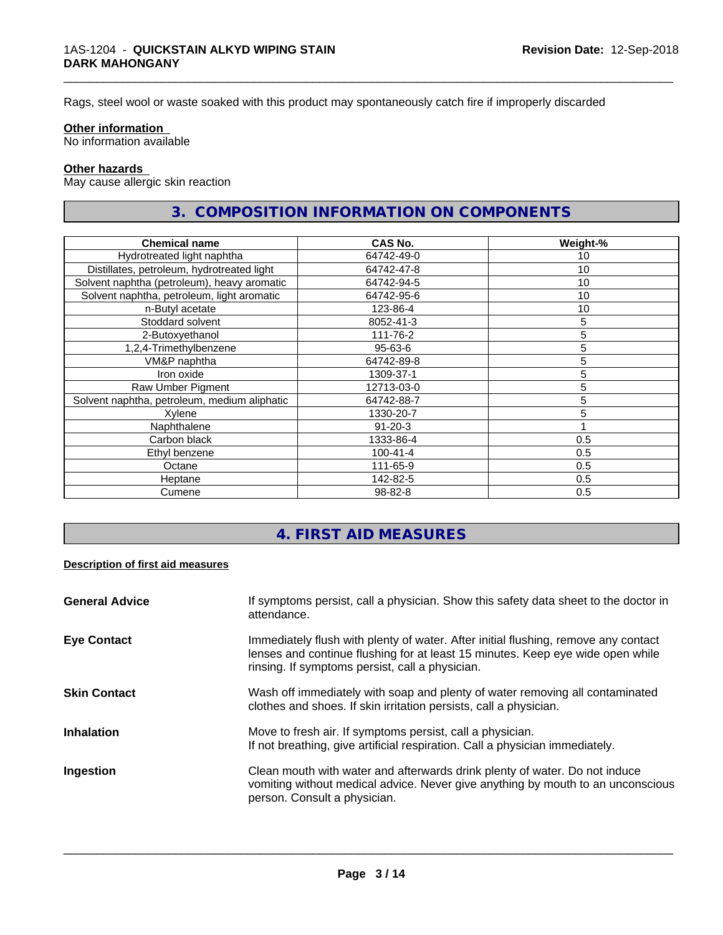Rags, steel wool or waste soaked with this product may spontaneously catch fire if improperly discarded

#### **Other information**

No information available

#### **Other hazards**

May cause allergic skin reaction

# **3. COMPOSITION INFORMATION ON COMPONENTS**

\_\_\_\_\_\_\_\_\_\_\_\_\_\_\_\_\_\_\_\_\_\_\_\_\_\_\_\_\_\_\_\_\_\_\_\_\_\_\_\_\_\_\_\_\_\_\_\_\_\_\_\_\_\_\_\_\_\_\_\_\_\_\_\_\_\_\_\_\_\_\_\_\_\_\_\_\_\_\_\_\_\_\_\_\_\_\_\_\_\_\_\_\_

| <b>Chemical name</b>                         | CAS No.        | Weight-%        |
|----------------------------------------------|----------------|-----------------|
| Hydrotreated light naphtha                   | 64742-49-0     | 10              |
| Distillates, petroleum, hydrotreated light   | 64742-47-8     | 10              |
| Solvent naphtha (petroleum), heavy aromatic  | 64742-94-5     | 10              |
| Solvent naphtha, petroleum, light aromatic   | 64742-95-6     | 10              |
| n-Butyl acetate                              | 123-86-4       | 10 <sub>1</sub> |
| Stoddard solvent                             | 8052-41-3      | 5               |
| 2-Butoxyethanol                              | 111-76-2       | 5               |
| 1,2,4-Trimethylbenzene                       | $95 - 63 - 6$  | 5               |
| VM&P naphtha                                 | 64742-89-8     | 5               |
| Iron oxide                                   | 1309-37-1      | 5               |
| Raw Umber Pigment                            | 12713-03-0     | 5               |
| Solvent naphtha, petroleum, medium aliphatic | 64742-88-7     | 5               |
| Xylene                                       | 1330-20-7      | 5               |
| Naphthalene                                  | $91 - 20 - 3$  |                 |
| Carbon black                                 | 1333-86-4      | 0.5             |
| Ethyl benzene                                | $100 - 41 - 4$ | 0.5             |
| Octane                                       | 111-65-9       | 0.5             |
| Heptane                                      | 142-82-5       | 0.5             |
| Cumene                                       | 98-82-8        | 0.5             |

# **4. FIRST AID MEASURES**

#### **Description of first aid measures**

| <b>General Advice</b> | If symptoms persist, call a physician. Show this safety data sheet to the doctor in<br>attendance.                                                                                                                      |
|-----------------------|-------------------------------------------------------------------------------------------------------------------------------------------------------------------------------------------------------------------------|
| <b>Eye Contact</b>    | Immediately flush with plenty of water. After initial flushing, remove any contact<br>lenses and continue flushing for at least 15 minutes. Keep eye wide open while<br>rinsing. If symptoms persist, call a physician. |
| <b>Skin Contact</b>   | Wash off immediately with soap and plenty of water removing all contaminated<br>clothes and shoes. If skin irritation persists, call a physician.                                                                       |
| <b>Inhalation</b>     | Move to fresh air. If symptoms persist, call a physician.<br>If not breathing, give artificial respiration. Call a physician immediately.                                                                               |
| Ingestion             | Clean mouth with water and afterwards drink plenty of water. Do not induce<br>vomiting without medical advice. Never give anything by mouth to an unconscious<br>person. Consult a physician.                           |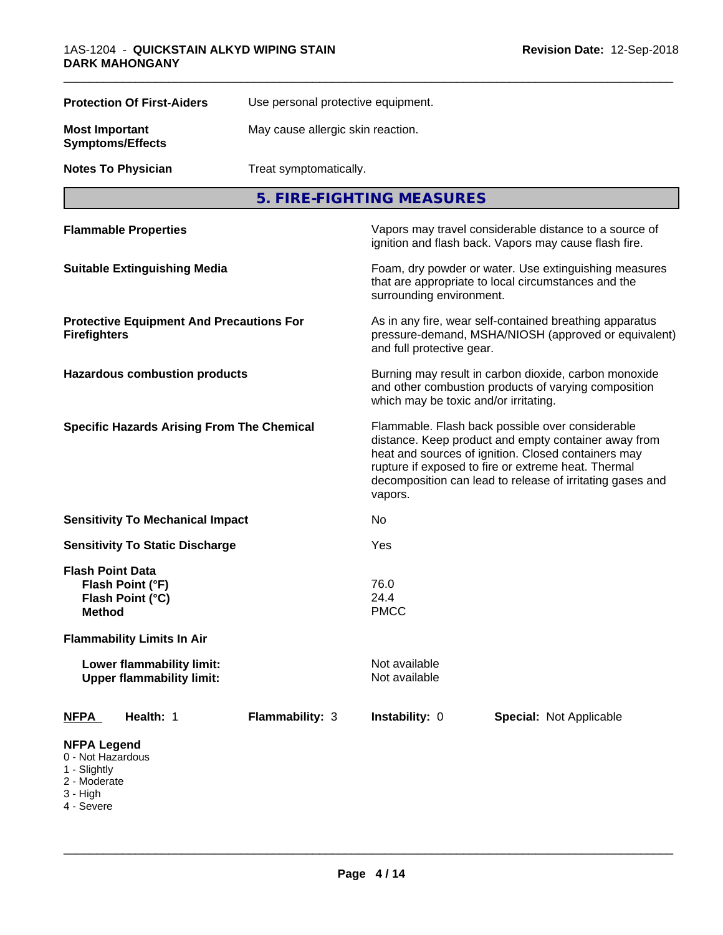| <b>Protection Of First-Aiders</b>                                                   |                                                                                                                                              | Use personal protective equipment.                                                                                                                                                                                                                                                             |                                                                                                                 |  |  |
|-------------------------------------------------------------------------------------|----------------------------------------------------------------------------------------------------------------------------------------------|------------------------------------------------------------------------------------------------------------------------------------------------------------------------------------------------------------------------------------------------------------------------------------------------|-----------------------------------------------------------------------------------------------------------------|--|--|
| <b>Most Important</b><br><b>Symptoms/Effects</b>                                    |                                                                                                                                              | May cause allergic skin reaction.                                                                                                                                                                                                                                                              |                                                                                                                 |  |  |
| <b>Notes To Physician</b>                                                           |                                                                                                                                              | Treat symptomatically.                                                                                                                                                                                                                                                                         |                                                                                                                 |  |  |
| 5. FIRE-FIGHTING MEASURES                                                           |                                                                                                                                              |                                                                                                                                                                                                                                                                                                |                                                                                                                 |  |  |
| <b>Flammable Properties</b>                                                         |                                                                                                                                              |                                                                                                                                                                                                                                                                                                | Vapors may travel considerable distance to a source of<br>ignition and flash back. Vapors may cause flash fire. |  |  |
| <b>Suitable Extinguishing Media</b>                                                 |                                                                                                                                              | Foam, dry powder or water. Use extinguishing measures<br>that are appropriate to local circumstances and the<br>surrounding environment.                                                                                                                                                       |                                                                                                                 |  |  |
| <b>Protective Equipment And Precautions For</b><br><b>Firefighters</b>              | As in any fire, wear self-contained breathing apparatus<br>pressure-demand, MSHA/NIOSH (approved or equivalent)<br>and full protective gear. |                                                                                                                                                                                                                                                                                                |                                                                                                                 |  |  |
| <b>Hazardous combustion products</b>                                                |                                                                                                                                              | Burning may result in carbon dioxide, carbon monoxide<br>and other combustion products of varying composition<br>which may be toxic and/or irritating.                                                                                                                                         |                                                                                                                 |  |  |
| <b>Specific Hazards Arising From The Chemical</b>                                   |                                                                                                                                              | Flammable. Flash back possible over considerable<br>distance. Keep product and empty container away from<br>heat and sources of ignition. Closed containers may<br>rupture if exposed to fire or extreme heat. Thermal<br>decomposition can lead to release of irritating gases and<br>vapors. |                                                                                                                 |  |  |
| <b>Sensitivity To Mechanical Impact</b>                                             |                                                                                                                                              | No                                                                                                                                                                                                                                                                                             |                                                                                                                 |  |  |
| <b>Sensitivity To Static Discharge</b>                                              |                                                                                                                                              | Yes                                                                                                                                                                                                                                                                                            |                                                                                                                 |  |  |
| <b>Flash Point Data</b><br>Flash Point (°F)<br>Flash Point (°C)<br><b>Method</b>    |                                                                                                                                              | 76.0<br>24.4<br><b>PMCC</b>                                                                                                                                                                                                                                                                    |                                                                                                                 |  |  |
| <b>Flammability Limits In Air</b>                                                   |                                                                                                                                              |                                                                                                                                                                                                                                                                                                |                                                                                                                 |  |  |
| Lower flammability limit:<br><b>Upper flammability limit:</b>                       |                                                                                                                                              | Not available<br>Not available                                                                                                                                                                                                                                                                 |                                                                                                                 |  |  |
| Health: 1<br><b>NFPA</b>                                                            | <b>Flammability: 3</b>                                                                                                                       | Instability: 0                                                                                                                                                                                                                                                                                 | <b>Special: Not Applicable</b>                                                                                  |  |  |
| <b>NFPA Legend</b><br>0 - Not Hazardous<br>1 - Slightly<br>2 - Moderate<br>3 - High |                                                                                                                                              |                                                                                                                                                                                                                                                                                                |                                                                                                                 |  |  |

- 
- 4 Severe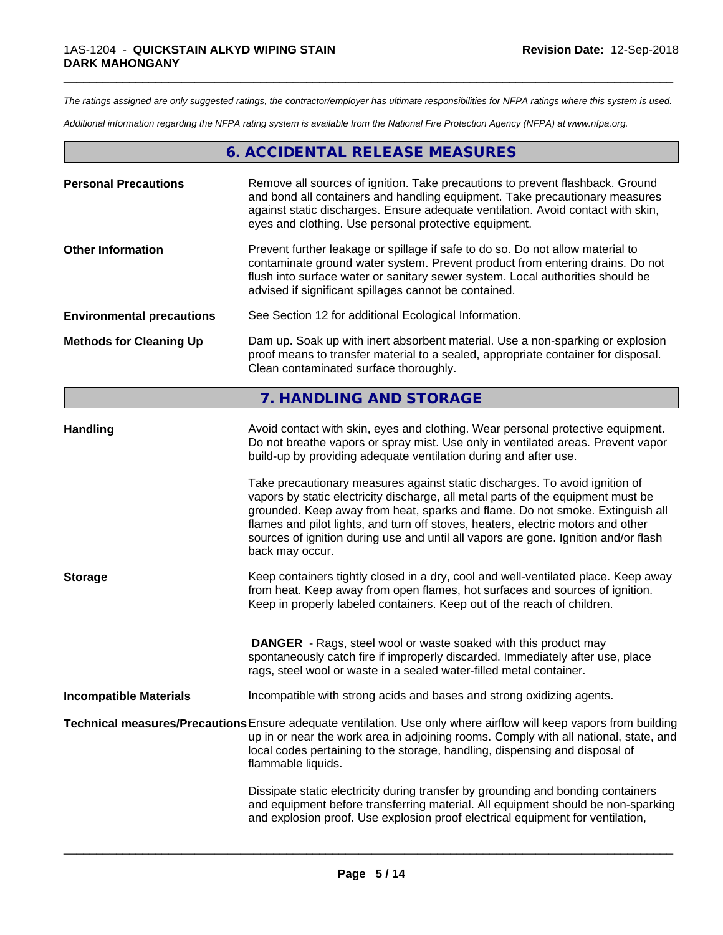*The ratings assigned are only suggested ratings, the contractor/employer has ultimate responsibilities for NFPA ratings where this system is used.*

\_\_\_\_\_\_\_\_\_\_\_\_\_\_\_\_\_\_\_\_\_\_\_\_\_\_\_\_\_\_\_\_\_\_\_\_\_\_\_\_\_\_\_\_\_\_\_\_\_\_\_\_\_\_\_\_\_\_\_\_\_\_\_\_\_\_\_\_\_\_\_\_\_\_\_\_\_\_\_\_\_\_\_\_\_\_\_\_\_\_\_\_\_

*Additional information regarding the NFPA rating system is available from the National Fire Protection Agency (NFPA) at www.nfpa.org.*

# **6. ACCIDENTAL RELEASE MEASURES**

| <b>Personal Precautions</b>      | Remove all sources of ignition. Take precautions to prevent flashback. Ground<br>and bond all containers and handling equipment. Take precautionary measures<br>against static discharges. Ensure adequate ventilation. Avoid contact with skin,<br>eyes and clothing. Use personal protective equipment.  |
|----------------------------------|------------------------------------------------------------------------------------------------------------------------------------------------------------------------------------------------------------------------------------------------------------------------------------------------------------|
| <b>Other Information</b>         | Prevent further leakage or spillage if safe to do so. Do not allow material to<br>contaminate ground water system. Prevent product from entering drains. Do not<br>flush into surface water or sanitary sewer system. Local authorities should be<br>advised if significant spillages cannot be contained. |
| <b>Environmental precautions</b> | See Section 12 for additional Ecological Information.                                                                                                                                                                                                                                                      |
| <b>Methods for Cleaning Up</b>   | Dam up. Soak up with inert absorbent material. Use a non-sparking or explosion<br>proof means to transfer material to a sealed, appropriate container for disposal.<br>Clean contaminated surface thoroughly.                                                                                              |

# **7. HANDLING AND STORAGE**

| <b>Handling</b>               | Avoid contact with skin, eyes and clothing. Wear personal protective equipment.<br>Do not breathe vapors or spray mist. Use only in ventilated areas. Prevent vapor<br>build-up by providing adequate ventilation during and after use.                                                                                                                                                                                                        |
|-------------------------------|------------------------------------------------------------------------------------------------------------------------------------------------------------------------------------------------------------------------------------------------------------------------------------------------------------------------------------------------------------------------------------------------------------------------------------------------|
|                               | Take precautionary measures against static discharges. To avoid ignition of<br>vapors by static electricity discharge, all metal parts of the equipment must be<br>grounded. Keep away from heat, sparks and flame. Do not smoke. Extinguish all<br>flames and pilot lights, and turn off stoves, heaters, electric motors and other<br>sources of ignition during use and until all vapors are gone. Ignition and/or flash<br>back may occur. |
| <b>Storage</b>                | Keep containers tightly closed in a dry, cool and well-ventilated place. Keep away<br>from heat. Keep away from open flames, hot surfaces and sources of ignition.<br>Keep in properly labeled containers. Keep out of the reach of children.                                                                                                                                                                                                  |
|                               | <b>DANGER</b> - Rags, steel wool or waste soaked with this product may<br>spontaneously catch fire if improperly discarded. Immediately after use, place<br>rags, steel wool or waste in a sealed water-filled metal container.                                                                                                                                                                                                                |
| <b>Incompatible Materials</b> | Incompatible with strong acids and bases and strong oxidizing agents.                                                                                                                                                                                                                                                                                                                                                                          |
|                               | Technical measures/Precautions Ensure adequate ventilation. Use only where airflow will keep vapors from building<br>up in or near the work area in adjoining rooms. Comply with all national, state, and<br>local codes pertaining to the storage, handling, dispensing and disposal of<br>flammable liquids.                                                                                                                                 |
|                               | Dissipate static electricity during transfer by grounding and bonding containers<br>and equipment before transferring material. All equipment should be non-sparking<br>and explosion proof. Use explosion proof electrical equipment for ventilation,                                                                                                                                                                                         |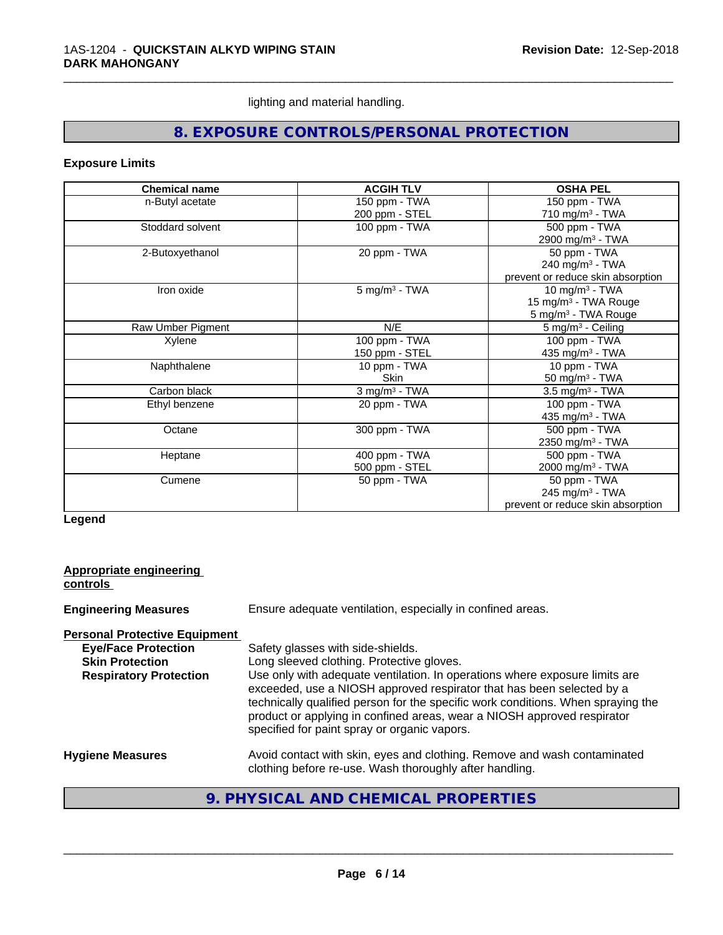lighting and material handling.

# **8. EXPOSURE CONTROLS/PERSONAL PROTECTION**

\_\_\_\_\_\_\_\_\_\_\_\_\_\_\_\_\_\_\_\_\_\_\_\_\_\_\_\_\_\_\_\_\_\_\_\_\_\_\_\_\_\_\_\_\_\_\_\_\_\_\_\_\_\_\_\_\_\_\_\_\_\_\_\_\_\_\_\_\_\_\_\_\_\_\_\_\_\_\_\_\_\_\_\_\_\_\_\_\_\_\_\_\_

#### **Exposure Limits**

| <b>Chemical name</b> | <b>ACGIH TLV</b>            | <b>OSHA PEL</b>                   |
|----------------------|-----------------------------|-----------------------------------|
| n-Butyl acetate      | 150 ppm - TWA               | 150 ppm - TWA                     |
|                      | 200 ppm - STEL              | 710 mg/m <sup>3</sup> - TWA       |
| Stoddard solvent     | 100 ppm - TWA               | 500 ppm - TWA                     |
|                      |                             | 2900 mg/m <sup>3</sup> - TWA      |
| 2-Butoxyethanol      | 20 ppm - TWA                | 50 ppm - TWA                      |
|                      |                             | 240 mg/m <sup>3</sup> - TWA       |
|                      |                             | prevent or reduce skin absorption |
| Iron oxide           | $5$ mg/m <sup>3</sup> - TWA | 10 mg/m $3$ - TWA                 |
|                      |                             | 15 mg/m <sup>3</sup> - TWA Rouge  |
|                      |                             | 5 mg/m <sup>3</sup> - TWA Rouge   |
| Raw Umber Pigment    | N/E                         | $5 \text{ mg/m}^3$ - Ceiling      |
| Xylene               | 100 ppm - TWA               | 100 ppm - TWA                     |
|                      | 150 ppm - STEL              | 435 mg/m $3$ - TWA                |
| Naphthalene          | 10 ppm - TWA                | 10 ppm - TWA                      |
|                      | <b>Skin</b>                 | 50 mg/m $3$ - TWA                 |
| Carbon black         | $3$ mg/m <sup>3</sup> - TWA | $3.5 \text{ mg/m}^3$ - TWA        |
| Ethyl benzene        | 20 ppm - TWA                | 100 ppm - TWA                     |
|                      |                             | 435 mg/m <sup>3</sup> - TWA       |
| Octane               | 300 ppm - TWA               | 500 ppm - TWA                     |
|                      |                             | 2350 mg/m <sup>3</sup> - TWA      |
| Heptane              | 400 ppm - TWA               | 500 ppm - TWA                     |
|                      | 500 ppm - STEL              | 2000 mg/m <sup>3</sup> - TWA      |
| Cumene               | 50 ppm - TWA                | 50 ppm - TWA                      |
|                      |                             | 245 mg/m <sup>3</sup> - TWA       |
|                      |                             | prevent or reduce skin absorption |

**Legend**

| Appropriate engineering<br>controls  |                                                                                                                                                                                                                                                                                                                                                                     |  |
|--------------------------------------|---------------------------------------------------------------------------------------------------------------------------------------------------------------------------------------------------------------------------------------------------------------------------------------------------------------------------------------------------------------------|--|
| <b>Engineering Measures</b>          | Ensure adequate ventilation, especially in confined areas.                                                                                                                                                                                                                                                                                                          |  |
| <b>Personal Protective Equipment</b> |                                                                                                                                                                                                                                                                                                                                                                     |  |
| <b>Eye/Face Protection</b>           | Safety glasses with side-shields.                                                                                                                                                                                                                                                                                                                                   |  |
| <b>Skin Protection</b>               | Long sleeved clothing. Protective gloves.                                                                                                                                                                                                                                                                                                                           |  |
| <b>Respiratory Protection</b>        | Use only with adequate ventilation. In operations where exposure limits are<br>exceeded, use a NIOSH approved respirator that has been selected by a<br>technically qualified person for the specific work conditions. When spraying the<br>product or applying in confined areas, wear a NIOSH approved respirator<br>specified for paint spray or organic vapors. |  |
| <b>Hygiene Measures</b>              | Avoid contact with skin, eyes and clothing. Remove and wash contaminated<br>clothing before re-use. Wash thoroughly after handling.                                                                                                                                                                                                                                 |  |
|                                      |                                                                                                                                                                                                                                                                                                                                                                     |  |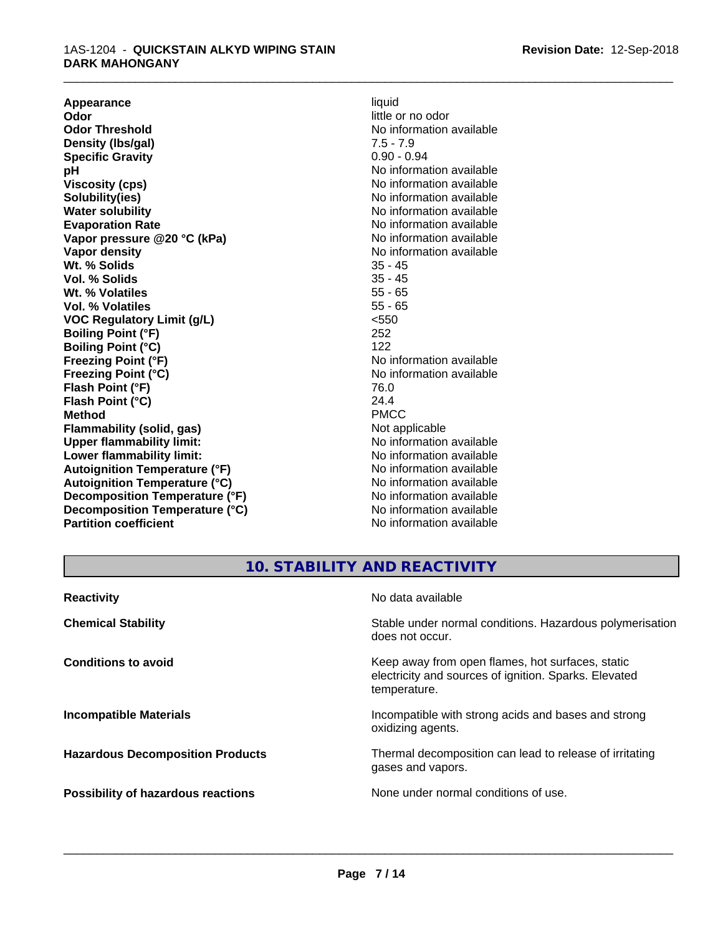**Appearance** liquid **and a liquid contract of the contract of the contract of the contract of the contract of the contract of the contract of the contract of the contract of the contract of the contract of the contract of Odor**<br> **Odor Threshold**<br> **Odor Threshold**<br> **Odor Threshold**<br> **Odor Threshold Density (Ibs/gal)** 7.5 - 7.9<br> **Specific Gravity** 3.1 2.2 2.2 2.2 2.94 **Specific Gravity pH** No information available **Viscosity (cps)** No information available<br> **Solubility (ies)** No information available<br>
No information available **Solubility(ies)**<br> **No** information available<br> **Water solubility**<br> **No** information available **Evaporation Rate No information available No information available Vapor pressure @20 °C (kPa)** No information available **Vapor density No information available No** information available **Wt. % Solids** 35 - 45<br> **Vol. % Solids** 35 - 45 **Vol. % Solids** 35 - 45<br> **Wt. % Volatiles** 35 - 65 Wt. % Volatiles **Vol. % Volatiles** 55 - 65 **VOC Regulatory Limit (g/L)** <550 **Boiling Point (°F)** 252 **Boiling Point (°C)** 122<br> **Freezing Point (°F)** No i **Freezing Point (°C)** No information available **Flash Point (°F)** 76.0 **Flash Point (°C)** 24.4 **Method** PMCC **Flammability (solid, gas)**<br> **Commability limit:**<br>
Upper flammability limit:<br>
Wo information available **Upper flammability limit: Lower flammability limit:**<br> **Autoignition Temperature (°F)** No information available<br>
No information available **Autoignition Temperature (°F) Autoignition Temperature (°C)** No information available **Decomposition Temperature (°F)** No information available **Decomposition Temperature (°C)** No information available **Partition coefficient** No information available

# **No information available No information available Freezing Point (°F)** No information available

\_\_\_\_\_\_\_\_\_\_\_\_\_\_\_\_\_\_\_\_\_\_\_\_\_\_\_\_\_\_\_\_\_\_\_\_\_\_\_\_\_\_\_\_\_\_\_\_\_\_\_\_\_\_\_\_\_\_\_\_\_\_\_\_\_\_\_\_\_\_\_\_\_\_\_\_\_\_\_\_\_\_\_\_\_\_\_\_\_\_\_\_\_

## **10. STABILITY AND REACTIVITY**

| <b>Reactivity</b>                       | No data available                                                                                                         |
|-----------------------------------------|---------------------------------------------------------------------------------------------------------------------------|
| <b>Chemical Stability</b>               | Stable under normal conditions. Hazardous polymerisation<br>does not occur.                                               |
| <b>Conditions to avoid</b>              | Keep away from open flames, hot surfaces, static<br>electricity and sources of ignition. Sparks. Elevated<br>temperature. |
| <b>Incompatible Materials</b>           | Incompatible with strong acids and bases and strong<br>oxidizing agents.                                                  |
| <b>Hazardous Decomposition Products</b> | Thermal decomposition can lead to release of irritating<br>gases and vapors.                                              |
| Possibility of hazardous reactions      | None under normal conditions of use.                                                                                      |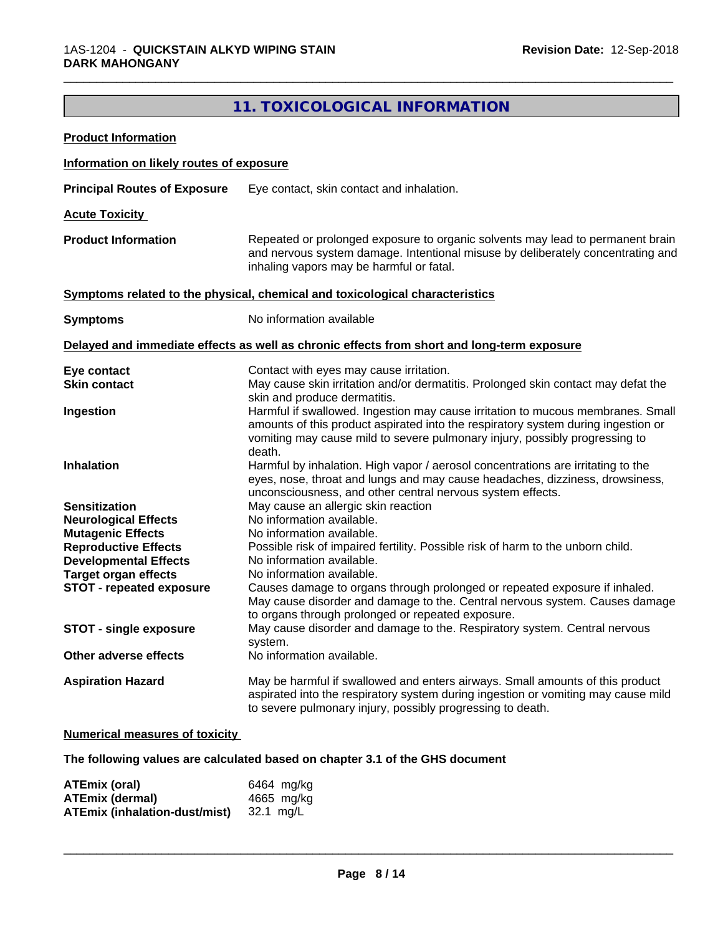# **11. TOXICOLOGICAL INFORMATION**

\_\_\_\_\_\_\_\_\_\_\_\_\_\_\_\_\_\_\_\_\_\_\_\_\_\_\_\_\_\_\_\_\_\_\_\_\_\_\_\_\_\_\_\_\_\_\_\_\_\_\_\_\_\_\_\_\_\_\_\_\_\_\_\_\_\_\_\_\_\_\_\_\_\_\_\_\_\_\_\_\_\_\_\_\_\_\_\_\_\_\_\_\_

| <b>Product Information</b>                                  |                                                                                                                                                                                                                                                               |
|-------------------------------------------------------------|---------------------------------------------------------------------------------------------------------------------------------------------------------------------------------------------------------------------------------------------------------------|
| Information on likely routes of exposure                    |                                                                                                                                                                                                                                                               |
| <b>Principal Routes of Exposure</b>                         | Eye contact, skin contact and inhalation.                                                                                                                                                                                                                     |
| <b>Acute Toxicity</b>                                       |                                                                                                                                                                                                                                                               |
| <b>Product Information</b>                                  | Repeated or prolonged exposure to organic solvents may lead to permanent brain<br>and nervous system damage. Intentional misuse by deliberately concentrating and<br>inhaling vapors may be harmful or fatal.                                                 |
|                                                             | Symptoms related to the physical, chemical and toxicological characteristics                                                                                                                                                                                  |
| <b>Symptoms</b>                                             | No information available                                                                                                                                                                                                                                      |
|                                                             | Delayed and immediate effects as well as chronic effects from short and long-term exposure                                                                                                                                                                    |
| Eye contact                                                 | Contact with eyes may cause irritation.                                                                                                                                                                                                                       |
| <b>Skin contact</b>                                         | May cause skin irritation and/or dermatitis. Prolonged skin contact may defat the<br>skin and produce dermatitis.                                                                                                                                             |
| Ingestion                                                   | Harmful if swallowed. Ingestion may cause irritation to mucous membranes. Small<br>amounts of this product aspirated into the respiratory system during ingestion or<br>vomiting may cause mild to severe pulmonary injury, possibly progressing to<br>death. |
| <b>Inhalation</b>                                           | Harmful by inhalation. High vapor / aerosol concentrations are irritating to the<br>eyes, nose, throat and lungs and may cause headaches, dizziness, drowsiness,<br>unconsciousness, and other central nervous system effects.                                |
| <b>Sensitization</b>                                        | May cause an allergic skin reaction                                                                                                                                                                                                                           |
| <b>Neurological Effects</b>                                 | No information available.                                                                                                                                                                                                                                     |
| <b>Mutagenic Effects</b>                                    | No information available.                                                                                                                                                                                                                                     |
| <b>Reproductive Effects</b><br><b>Developmental Effects</b> | Possible risk of impaired fertility. Possible risk of harm to the unborn child.<br>No information available.                                                                                                                                                  |
| <b>Target organ effects</b>                                 | No information available.                                                                                                                                                                                                                                     |
| <b>STOT - repeated exposure</b>                             | Causes damage to organs through prolonged or repeated exposure if inhaled.<br>May cause disorder and damage to the. Central nervous system. Causes damage<br>to organs through prolonged or repeated exposure.                                                |
| <b>STOT - single exposure</b>                               | May cause disorder and damage to the. Respiratory system. Central nervous<br>system.                                                                                                                                                                          |
| Other adverse effects                                       | No information available.                                                                                                                                                                                                                                     |
| <b>Aspiration Hazard</b>                                    | May be harmful if swallowed and enters airways. Small amounts of this product<br>aspirated into the respiratory system during ingestion or vomiting may cause mild<br>to severe pulmonary injury, possibly progressing to death.                              |

#### **Numerical measures of toxicity**

**The following values are calculated based on chapter 3.1 of the GHS document**

| ATEmix (oral)                        | 6464 mg/kg |
|--------------------------------------|------------|
| <b>ATEmix (dermal)</b>               | 4665 mg/ka |
| <b>ATEmix (inhalation-dust/mist)</b> | 32.1 ma/L  |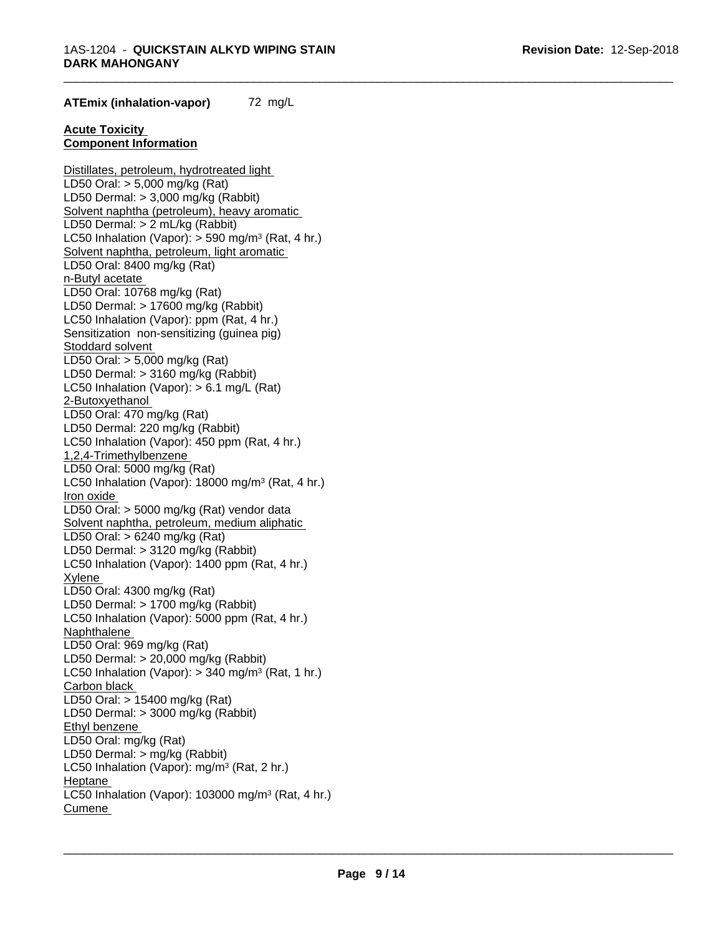\_\_\_\_\_\_\_\_\_\_\_\_\_\_\_\_\_\_\_\_\_\_\_\_\_\_\_\_\_\_\_\_\_\_\_\_\_\_\_\_\_\_\_\_\_\_\_\_\_\_\_\_\_\_\_\_\_\_\_\_\_\_\_\_\_\_\_\_\_\_\_\_\_\_\_\_\_\_\_\_\_\_\_\_\_\_\_\_\_\_\_\_\_

#### **ATEmix (inhalation-vapor)** 72 mg/L

#### **Acute Toxicity Component Information**

Distillates, petroleum, hydrotreated light LD50 Oral: > 5,000 mg/kg (Rat) LD50 Dermal: > 3,000 mg/kg (Rabbit) Solvent naphtha (petroleum), heavy aromatic LD50 Dermal: > 2 mL/kg (Rabbit) LC50 Inhalation (Vapor): > 590 mg/m<sup>3</sup> (Rat, 4 hr.) Solvent naphtha, petroleum, light aromatic LD50 Oral: 8400 mg/kg (Rat) n-Butyl acetate LD50 Oral: 10768 mg/kg (Rat) LD50 Dermal: > 17600 mg/kg (Rabbit) LC50 Inhalation (Vapor): ppm (Rat, 4 hr.) Sensitization non-sensitizing (guinea pig) Stoddard solvent LD50 Oral: > 5,000 mg/kg (Rat) LD50 Dermal: > 3160 mg/kg (Rabbit) LC50 Inhalation (Vapor): > 6.1 mg/L (Rat) 2-Butoxyethanol LD50 Oral: 470 mg/kg (Rat) LD50 Dermal: 220 mg/kg (Rabbit) LC50 Inhalation (Vapor): 450 ppm (Rat, 4 hr.) 1,2,4-Trimethylbenzene LD50 Oral: 5000 mg/kg (Rat) LC50 Inhalation (Vapor): 18000 mg/m<sup>3</sup> (Rat, 4 hr.) Iron oxide LD50 Oral: > 5000 mg/kg (Rat) vendor data Solvent naphtha, petroleum, medium aliphatic LD50 Oral: > 6240 mg/kg (Rat) LD50 Dermal: > 3120 mg/kg (Rabbit) LC50 Inhalation (Vapor): 1400 ppm (Rat, 4 hr.) Xylene LD50 Oral: 4300 mg/kg (Rat) LD50 Dermal: > 1700 mg/kg (Rabbit) LC50 Inhalation (Vapor): 5000 ppm (Rat, 4 hr.) **Naphthalene** LD50 Oral: 969 mg/kg (Rat) LD50 Dermal: > 20,000 mg/kg (Rabbit) LC50 Inhalation (Vapor): > 340 mg/m<sup>3</sup> (Rat, 1 hr.) Carbon black LD50 Oral: > 15400 mg/kg (Rat) LD50 Dermal: > 3000 mg/kg (Rabbit) Ethyl benzene LD50 Oral: mg/kg (Rat) LD50 Dermal: > mg/kg (Rabbit) LC50 Inhalation (Vapor): mg/m<sup>3</sup> (Rat, 2 hr.) Heptane LC50 Inhalation (Vapor): 103000 mg/m<sup>3</sup> (Rat, 4 hr.) Cumene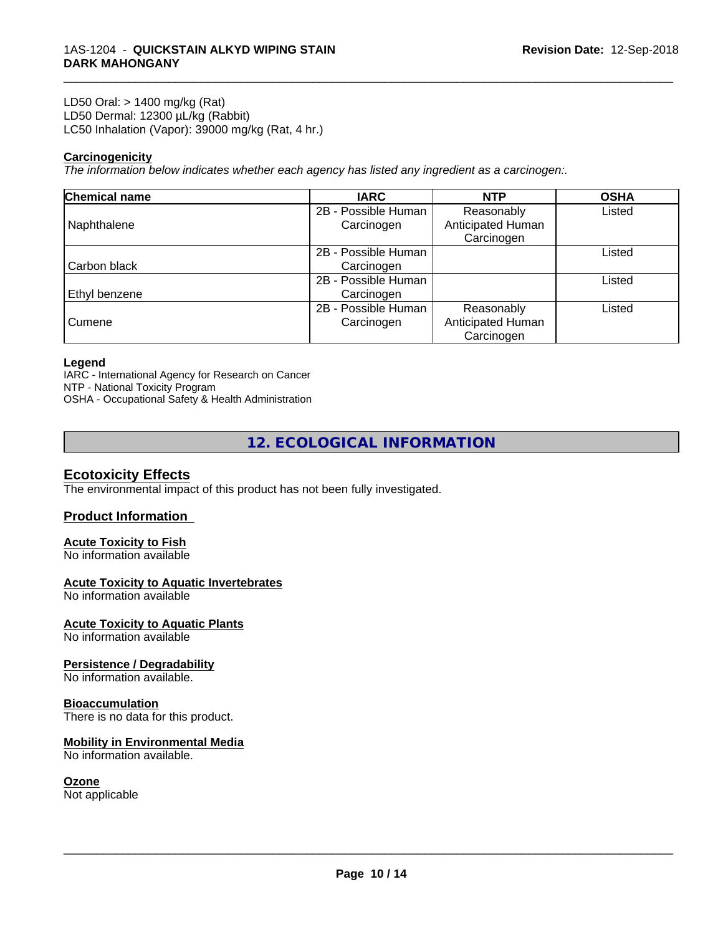LD50 Oral: > 1400 mg/kg (Rat) LD50 Dermal: 12300 µL/kg (Rabbit) LC50 Inhalation (Vapor): 39000 mg/kg (Rat, 4 hr.)

#### **Carcinogenicity**

*The information below indicateswhether each agency has listed any ingredient as a carcinogen:.*

| Chemical name | <b>IARC</b>         | <b>NTP</b>        | <b>OSHA</b> |
|---------------|---------------------|-------------------|-------------|
|               | 2B - Possible Human | Reasonably        | Listed      |
| Naphthalene   | Carcinogen          | Anticipated Human |             |
|               |                     | Carcinogen        |             |
|               | 2B - Possible Human |                   | Listed      |
| Carbon black  | Carcinogen          |                   |             |
|               | 2B - Possible Human |                   | Listed      |
| Ethyl benzene | Carcinogen          |                   |             |
|               | 2B - Possible Human | Reasonably        | Listed      |
| Cumene        | Carcinogen          | Anticipated Human |             |
|               |                     | Carcinogen        |             |

\_\_\_\_\_\_\_\_\_\_\_\_\_\_\_\_\_\_\_\_\_\_\_\_\_\_\_\_\_\_\_\_\_\_\_\_\_\_\_\_\_\_\_\_\_\_\_\_\_\_\_\_\_\_\_\_\_\_\_\_\_\_\_\_\_\_\_\_\_\_\_\_\_\_\_\_\_\_\_\_\_\_\_\_\_\_\_\_\_\_\_\_\_

#### **Legend**

IARC - International Agency for Research on Cancer NTP - National Toxicity Program OSHA - Occupational Safety & Health Administration

**12. ECOLOGICAL INFORMATION**

#### **Ecotoxicity Effects**

The environmental impact of this product has not been fully investigated.

#### **Product Information**

# **Acute Toxicity to Fish**

No information available

#### **Acute Toxicity to Aquatic Invertebrates**

No information available

#### **Acute Toxicity to Aquatic Plants**

No information available

#### **Persistence / Degradability**

No information available.

#### **Bioaccumulation**

There is no data for this product.

#### **Mobility in Environmental Media**

No information available.

#### **Ozone**

Not applicable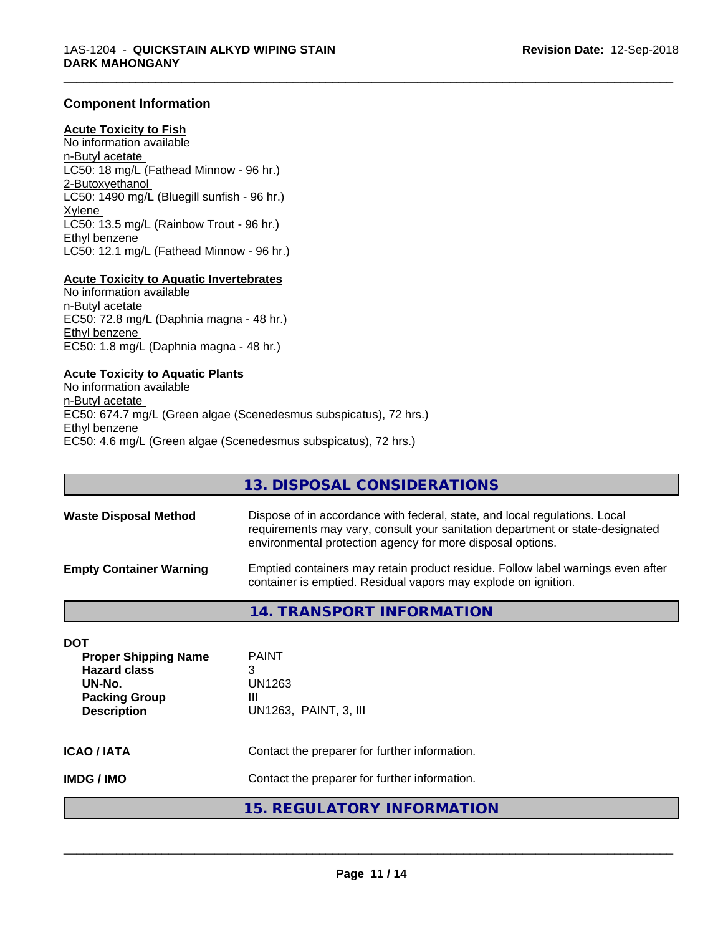#### **Component Information**

#### **Acute Toxicity to Fish**

No information available n-Butyl acetate LC50: 18 mg/L (Fathead Minnow - 96 hr.) 2-Butoxyethanol LC50: 1490 mg/L (Bluegill sunfish - 96 hr.) Xylene LC50: 13.5 mg/L (Rainbow Trout - 96 hr.) Ethyl benzene LC50: 12.1 mg/L (Fathead Minnow - 96 hr.)

#### **Acute Toxicity to Aquatic Invertebrates**

No information available n-Butyl acetate EC50: 72.8 mg/L (Daphnia magna - 48 hr.) Ethyl benzene EC50: 1.8 mg/L (Daphnia magna - 48 hr.)

#### **Acute Toxicity to Aquatic Plants**

No information available n-Butyl acetate EC50: 674.7 mg/L (Green algae (Scenedesmus subspicatus), 72 hrs.) Ethyl benzene EC50: 4.6 mg/L (Green algae (Scenedesmus subspicatus), 72 hrs.)

**13. DISPOSAL CONSIDERATIONS Waste Disposal Method** Dispose of in accordance with federal, state, and local regulations. Local requirements may vary, consult your sanitation department or state-designated environmental protection agency for more disposal options. **Empty Container Warning** Emptied containers may retain product residue. Follow label warnings even after container is emptied. Residual vapors may explode on ignition.

\_\_\_\_\_\_\_\_\_\_\_\_\_\_\_\_\_\_\_\_\_\_\_\_\_\_\_\_\_\_\_\_\_\_\_\_\_\_\_\_\_\_\_\_\_\_\_\_\_\_\_\_\_\_\_\_\_\_\_\_\_\_\_\_\_\_\_\_\_\_\_\_\_\_\_\_\_\_\_\_\_\_\_\_\_\_\_\_\_\_\_\_\_

#### **14. TRANSPORT INFORMATION**

| <b>DOT</b><br><b>Proper Shipping Name</b><br><b>Hazard class</b><br>UN-No.<br><b>Packing Group</b><br><b>Description</b> | <b>PAINT</b><br>3<br>UN1263<br>Ш<br>UN1263, PAINT, 3, III |  |
|--------------------------------------------------------------------------------------------------------------------------|-----------------------------------------------------------|--|
| <b>ICAO / IATA</b>                                                                                                       | Contact the preparer for further information.             |  |
| <b>IMDG/IMO</b>                                                                                                          | Contact the preparer for further information.             |  |
|                                                                                                                          | 15. REGULATORY INFORMATION                                |  |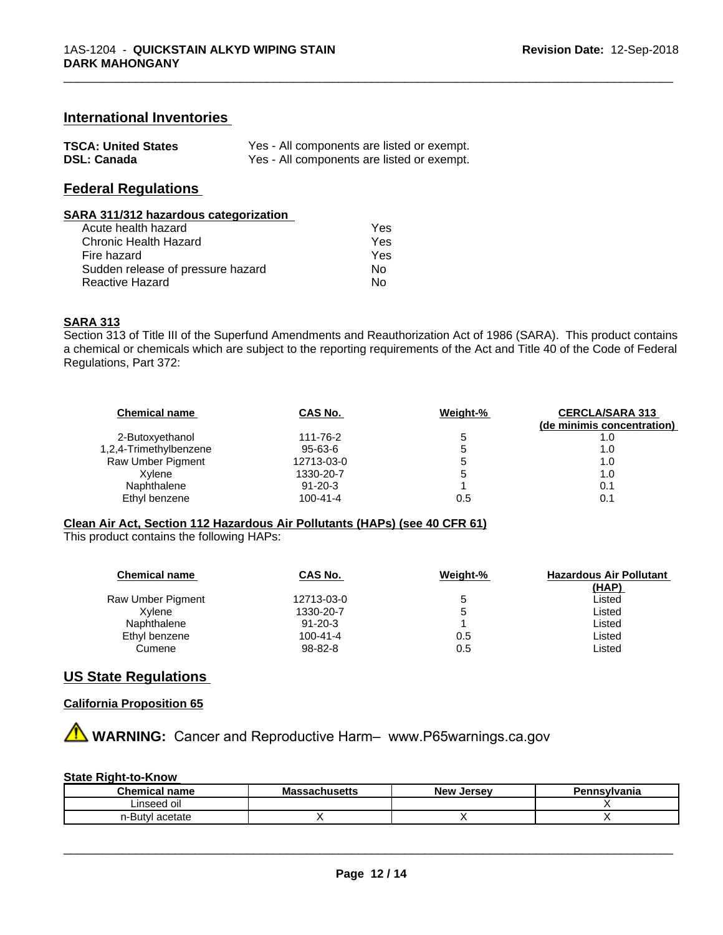#### **International Inventories**

| <b>TSCA: United States</b> | Yes - All components are listed or exempt. |
|----------------------------|--------------------------------------------|
| <b>DSL: Canada</b>         | Yes - All components are listed or exempt. |

# **Federal Regulations**

#### **SARA 311/312 hazardous categorization**

| Acute health hazard               | Yes |  |
|-----------------------------------|-----|--|
| Chronic Health Hazard             | Yes |  |
| Fire hazard                       | Yes |  |
| Sudden release of pressure hazard | Nο  |  |
| Reactive Hazard                   | N٥  |  |

#### **SARA 313**

Section 313 of Title III of the Superfund Amendments and Reauthorization Act of 1986 (SARA). This product contains a chemical or chemicals which are subject to the reporting requirements of the Act and Title 40 of the Code of Federal Regulations, Part 372:

\_\_\_\_\_\_\_\_\_\_\_\_\_\_\_\_\_\_\_\_\_\_\_\_\_\_\_\_\_\_\_\_\_\_\_\_\_\_\_\_\_\_\_\_\_\_\_\_\_\_\_\_\_\_\_\_\_\_\_\_\_\_\_\_\_\_\_\_\_\_\_\_\_\_\_\_\_\_\_\_\_\_\_\_\_\_\_\_\_\_\_\_\_

| CAS No.        | Weight-% | <b>CERCLA/SARA 313</b>     |
|----------------|----------|----------------------------|
|                |          | (de minimis concentration) |
| 111-76-2       | 5        | 1.0                        |
| 95-63-6        | э        | 1.0                        |
| 12713-03-0     | э        | 1.0                        |
| 1330-20-7      | đ        | 1.0                        |
| $91 - 20 - 3$  |          | 0.1                        |
| $100 - 41 - 4$ | 0.5      |                            |
|                |          |                            |

#### **Clean Air Act,Section 112 Hazardous Air Pollutants (HAPs) (see 40 CFR 61)**

This product contains the following HAPs:

| <b>Chemical name</b> | CAS No.        | Weight-% | <b>Hazardous Air Pollutant</b><br>(HAP) |
|----------------------|----------------|----------|-----------------------------------------|
| Raw Umber Pigment    | 12713-03-0     |          | Listed                                  |
| Xvlene               | 1330-20-7      |          | Listed                                  |
| Naphthalene          | $91 - 20 - 3$  |          | Listed                                  |
| Ethyl benzene        | $100 - 41 - 4$ | 0.5      | Listed                                  |
| Cumene               | 98-82-8        | 0.5      | Listed                                  |

#### **US State Regulations**

#### **California Proposition 65**

**A WARNING:** Cancer and Reproductive Harm– www.P65warnings.ca.gov

#### **State Right-to-Know**

| $\sim$<br>hemical<br>name     | Ma<br>saunus <del>c</del> us | <b>Jerse</b> v<br>– Ne™ | svivania<br>. |
|-------------------------------|------------------------------|-------------------------|---------------|
| Linseed oil                   |                              |                         |               |
| $\sim$<br>1-HU<br>этате<br>יש |                              |                         |               |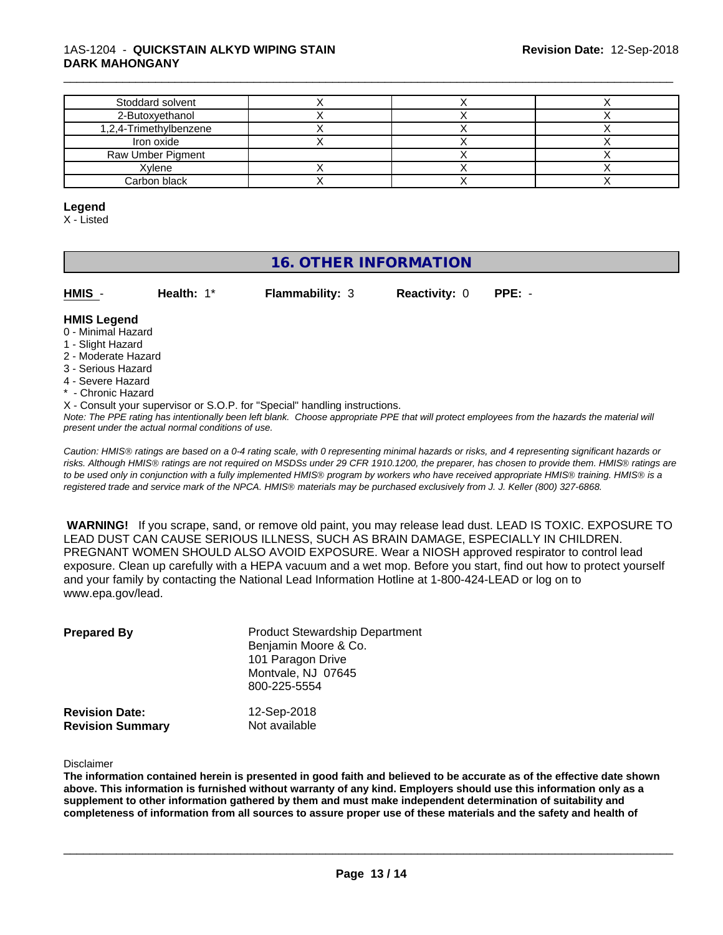#### 1AS-1204 - **QUICKSTAIN ALKYD WIPING STAIN DARK MAHONGANY**

| Stoddard solvent       |  |  |
|------------------------|--|--|
| 2-Butoxyethanol        |  |  |
| 1,2,4-Trimethylbenzene |  |  |
| Iron oxide             |  |  |
| Raw Umber Pigment      |  |  |
| Xylene                 |  |  |
| Carbon black           |  |  |

#### **Legend**

X - Listed

# **16. OTHER INFORMATION**

**HMIS** - **Health:** 1\* **Flammability:** 3 **Reactivity:** 0 **PPE:** -

\_\_\_\_\_\_\_\_\_\_\_\_\_\_\_\_\_\_\_\_\_\_\_\_\_\_\_\_\_\_\_\_\_\_\_\_\_\_\_\_\_\_\_\_\_\_\_\_\_\_\_\_\_\_\_\_\_\_\_\_\_\_\_\_\_\_\_\_\_\_\_\_\_\_\_\_\_\_\_\_\_\_\_\_\_\_\_\_\_\_\_\_\_

#### **HMIS Legend**

- 0 Minimal Hazard
- 1 Slight Hazard
- 2 Moderate Hazard
- 3 Serious Hazard
- 4 Severe Hazard
- \* Chronic Hazard
- X Consult your supervisor or S.O.P. for "Special" handling instructions.

*Note: The PPE rating has intentionally been left blank. Choose appropriate PPE that will protect employees from the hazards the material will present under the actual normal conditions of use.*

*Caution: HMISÒ ratings are based on a 0-4 rating scale, with 0 representing minimal hazards or risks, and 4 representing significant hazards or risks. Although HMISÒ ratings are not required on MSDSs under 29 CFR 1910.1200, the preparer, has chosen to provide them. HMISÒ ratings are to be used only in conjunction with a fully implemented HMISÒ program by workers who have received appropriate HMISÒ training. HMISÒ is a registered trade and service mark of the NPCA. HMISÒ materials may be purchased exclusively from J. J. Keller (800) 327-6868.*

 **WARNING!** If you scrape, sand, or remove old paint, you may release lead dust. LEAD IS TOXIC. EXPOSURE TO LEAD DUST CAN CAUSE SERIOUS ILLNESS, SUCH AS BRAIN DAMAGE, ESPECIALLY IN CHILDREN. PREGNANT WOMEN SHOULD ALSO AVOID EXPOSURE.Wear a NIOSH approved respirator to control lead exposure. Clean up carefully with a HEPA vacuum and a wet mop. Before you start, find out how to protect yourself and your family by contacting the National Lead Information Hotline at 1-800-424-LEAD or log on to www.epa.gov/lead.

| <b>Prepared By</b>                               | <b>Product Stewardship Department</b><br>Benjamin Moore & Co.<br>101 Paragon Drive<br>Montvale, NJ 07645<br>800-225-5554 |  |
|--------------------------------------------------|--------------------------------------------------------------------------------------------------------------------------|--|
| <b>Revision Date:</b><br><b>Revision Summary</b> | 12-Sep-2018<br>Not available                                                                                             |  |

Disclaimer

The information contained herein is presented in good faith and believed to be accurate as of the effective date shown above. This information is furnished without warranty of any kind. Emplovers should use this information only as a **supplement to other information gathered by them and must make independent determination of suitability and** completeness of information from all sources to assure proper use of these materials and the safety and health of